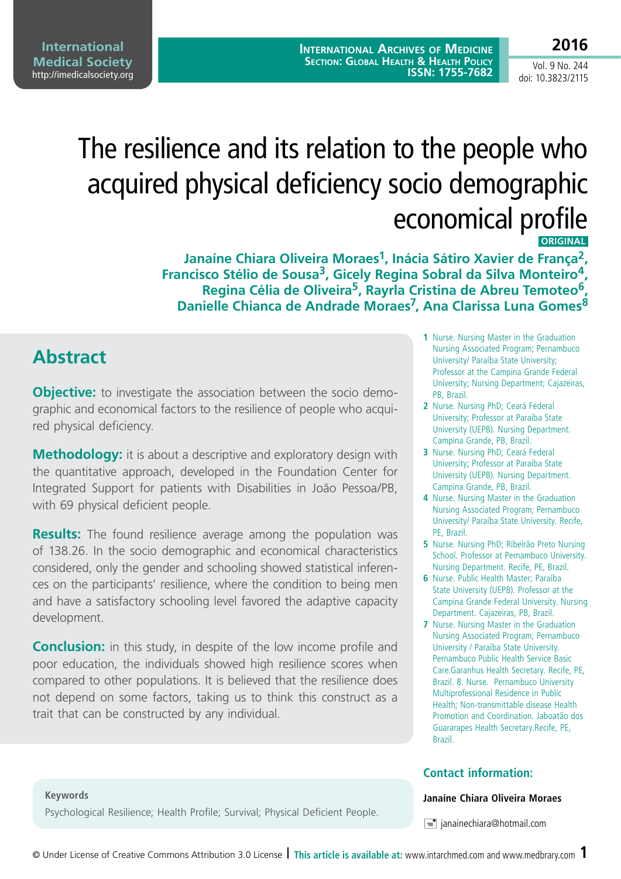**2016**

# The resilience and its relation to the people who acquired physical deficiency socio demographic economical profile

**ORIGINAL** 

Janaíne Chiara Oliveira Moraes<sup>1</sup>, Inácia Sátiro Xavier de França<sup>2</sup>, **Francisco Stélio de Sousa3, Gicely Regina Sobral da Silva Monteiro4, Regina Célia de Oliveira5, Rayrla Cristina de Abreu Temoteo6,**  Danielle Chianca de Andrade Moraes<sup>7</sup>, Ana Clarissa Luna Gomes<sup>8</sup>

# **Abstract**

**Objective:** to investigate the association between the socio demographic and economical factors to the resilience of people who acquired physical deficiency.

**Methodology:** it is about a descriptive and exploratory design with the quantitative approach, developed in the Foundation Center for Integrated Support for patients with Disabilities in João Pessoa/PB, with 69 physical deficient people.

**Results:** The found resilience average among the population was of 138.26. In the socio demographic and economical characteristics considered, only the gender and schooling showed statistical inferences on the participants' resilience, where the condition to being men and have a satisfactory schooling level favored the adaptive capacity development.

**Conclusion:** in this study, in despite of the low income profile and poor education, the individuals showed high resilience scores when compared to other populations. It is believed that the resilience does not depend on some factors, taking us to think this construct as a trait that can be constructed by any individual.

- **1** Nurse. Nursing Master in the Graduation Nursing Associated Program; Pernambuco University/ Paraíba State University; Professor at the Campina Grande Federal University; Nursing Department; Cajazeiras, PB, Brazil.
- **2** Nurse. Nursing PhD; Ceará Federal University; Professor at Paraíba State University (UEPB). Nursing Department. Campina Grande, PB, Brazil.
- **3** Nurse. Nursing PhD; Ceará Federal University; Professor at Paraíba State University (UEPB). Nursing Department. Campina Grande, PB, Brazil.
- **4** Nurse. Nursing Master in the Graduation Nursing Associated Program; Pernambuco University/ Paraíba State University. Recife, PE, Brazil.
- **5** Nurse. Nursing PhD; Ribeirão Preto Nursing School. Professor at Pernambuco University. Nursing Department. Recife, PE, Brazil.
- **6** Nurse. Public Health Master; Paraíba State University (UEPB). Professor at the Campina Grande Federal University. Nursing Department. Cajazeiras, PB, Brazil.
- **7** Nurse. Nursing Master in the Graduation Nursing Associated Program; Pernambuco University / Paraíba State University. Pernambuco Public Health Service Basic Care.Garanhus Health Secretary. Recife, PE, Brazil. 8. Nurse. Pernambuco University Multiprofessional Residence in Public Health; Non-transmittable disease Health Promotion and Coordination. Jaboatão dos Guararapes Health Secretary.Recife, PE, Brazil.

### **Contact information:**

#### **Janaíne Chiara Oliveira Moraes**

 $\equiv$  janainechiara@hotmail.com

**Keywords**

Psychological Resilience; Health Profile; Survival; Physical Deficient People.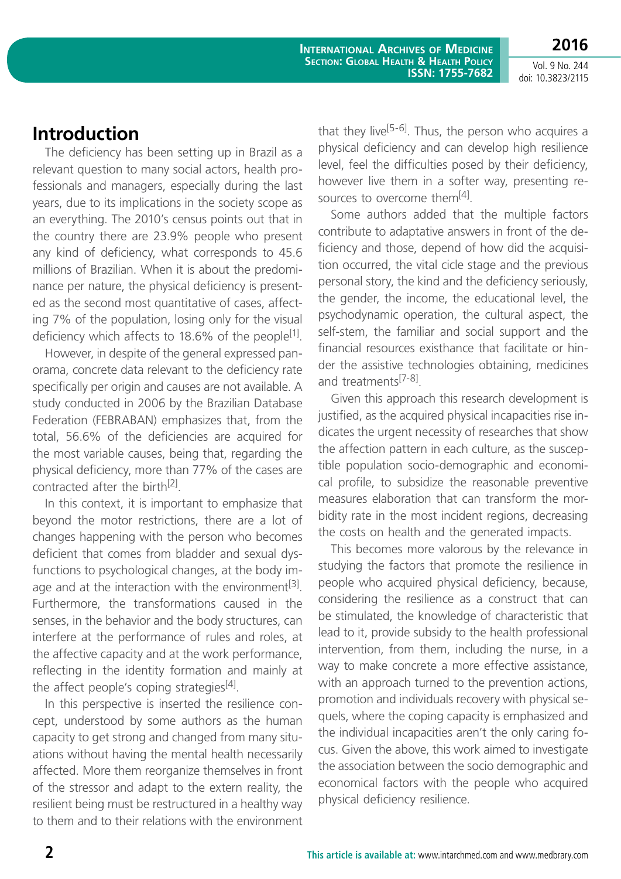**2016**

# **Introduction**

The deficiency has been setting up in Brazil as a relevant question to many social actors, health professionals and managers, especially during the last years, due to its implications in the society scope as an everything. The 2010's census points out that in the country there are 23.9% people who present any kind of deficiency, what corresponds to 45.6 millions of Brazilian. When it is about the predominance per nature, the physical deficiency is presented as the second most quantitative of cases, affecting 7% of the population, losing only for the visual deficiency which affects to 18.6% of the people<sup>[1]</sup>.

However, in despite of the general expressed panorama, concrete data relevant to the deficiency rate specifically per origin and causes are not available. A study conducted in 2006 by the Brazilian Database Federation (FEBRABAN) emphasizes that, from the total, 56.6% of the deficiencies are acquired for the most variable causes, being that, regarding the physical deficiency, more than 77% of the cases are contracted after the birth[2].

In this context, it is important to emphasize that beyond the motor restrictions, there are a lot of changes happening with the person who becomes deficient that comes from bladder and sexual dysfunctions to psychological changes, at the body image and at the interaction with the environment<sup>[3]</sup>. Furthermore, the transformations caused in the senses, in the behavior and the body structures, can interfere at the performance of rules and roles, at the affective capacity and at the work performance, reflecting in the identity formation and mainly at the affect people's coping strategies<sup>[4]</sup>.

In this perspective is inserted the resilience concept, understood by some authors as the human capacity to get strong and changed from many situations without having the mental health necessarily affected. More them reorganize themselves in front of the stressor and adapt to the extern reality, the resilient being must be restructured in a healthy way to them and to their relations with the environment

that they live<sup>[5-6]</sup>. Thus, the person who acquires a physical deficiency and can develop high resilience level, feel the difficulties posed by their deficiency, however live them in a softer way, presenting resources to overcome them<sup>[4]</sup>.

Some authors added that the multiple factors contribute to adaptative answers in front of the deficiency and those, depend of how did the acquisition occurred, the vital cicle stage and the previous personal story, the kind and the deficiency seriously, the gender, the income, the educational level, the psychodynamic operation, the cultural aspect, the self-stem, the familiar and social support and the financial resources existhance that facilitate or hinder the assistive technologies obtaining, medicines and treatments<sup>[7-8]</sup>.

Given this approach this research development is justified, as the acquired physical incapacities rise indicates the urgent necessity of researches that show the affection pattern in each culture, as the susceptible population socio-demographic and economical profile, to subsidize the reasonable preventive measures elaboration that can transform the morbidity rate in the most incident regions, decreasing the costs on health and the generated impacts.

This becomes more valorous by the relevance in studying the factors that promote the resilience in people who acquired physical deficiency, because, considering the resilience as a construct that can be stimulated, the knowledge of characteristic that lead to it, provide subsidy to the health professional intervention, from them, including the nurse, in a way to make concrete a more effective assistance, with an approach turned to the prevention actions, promotion and individuals recovery with physical sequels, where the coping capacity is emphasized and the individual incapacities aren't the only caring focus. Given the above, this work aimed to investigate the association between the socio demographic and economical factors with the people who acquired physical deficiency resilience.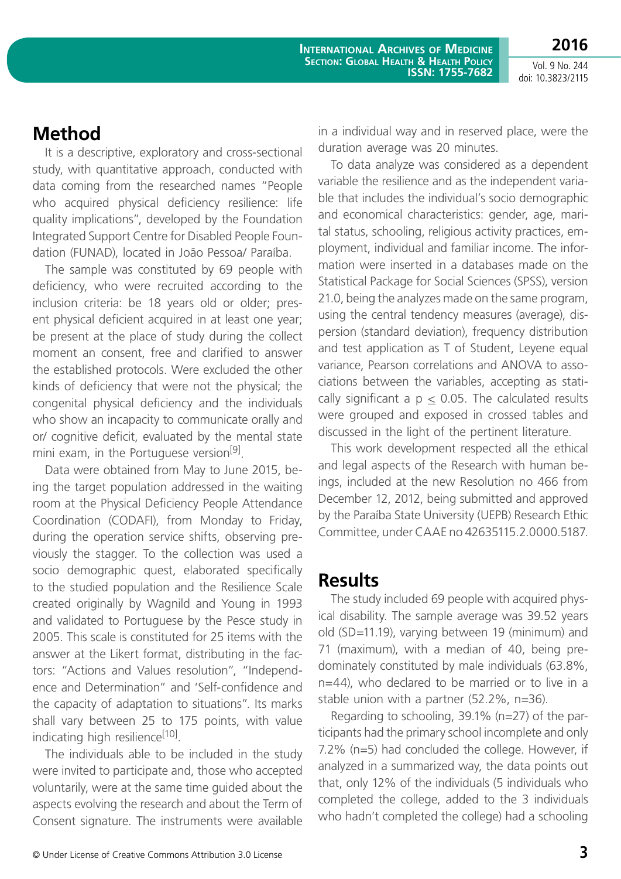**Method**

It is a descriptive, exploratory and cross-sectional study, with quantitative approach, conducted with data coming from the researched names "People who acquired physical deficiency resilience: life quality implications", developed by the Foundation Integrated Support Centre for Disabled People Foundation (FUNAD), located in João Pessoa/ Paraíba.

The sample was constituted by 69 people with deficiency, who were recruited according to the inclusion criteria: be 18 years old or older; present physical deficient acquired in at least one year; be present at the place of study during the collect moment an consent, free and clarified to answer the established protocols. Were excluded the other kinds of deficiency that were not the physical; the congenital physical deficiency and the individuals who show an incapacity to communicate orally and or/ cognitive deficit, evaluated by the mental state mini exam, in the Portuguese version<sup>[9]</sup>.

Data were obtained from May to June 2015, being the target population addressed in the waiting room at the Physical Deficiency People Attendance Coordination (CODAFI), from Monday to Friday, during the operation service shifts, observing previously the stagger. To the collection was used a socio demographic quest, elaborated specifically to the studied population and the Resilience Scale created originally by Wagnild and Young in 1993 and validated to Portuguese by the Pesce study in 2005. This scale is constituted for 25 items with the answer at the Likert format, distributing in the factors: "Actions and Values resolution", "Independence and Determination" and 'Self-confidence and the capacity of adaptation to situations". Its marks shall vary between 25 to 175 points, with value indicating high resilience<sup>[10]</sup>.

The individuals able to be included in the study were invited to participate and, those who accepted voluntarily, were at the same time guided about the aspects evolving the research and about the Term of Consent signature. The instruments were available in a individual way and in reserved place, were the duration average was 20 minutes.

To data analyze was considered as a dependent variable the resilience and as the independent variable that includes the individual's socio demographic and economical characteristics: gender, age, marital status, schooling, religious activity practices, employment, individual and familiar income. The information were inserted in a databases made on the Statistical Package for Social Sciences (SPSS), version 21.0, being the analyzes made on the same program, using the central tendency measures (average), dispersion (standard deviation), frequency distribution and test application as T of Student, Leyene equal variance, Pearson correlations and ANOVA to associations between the variables, accepting as statically significant a  $p \le 0.05$ . The calculated results were grouped and exposed in crossed tables and discussed in the light of the pertinent literature.

This work development respected all the ethical and legal aspects of the Research with human beings, included at the new Resolution no 466 from December 12, 2012, being submitted and approved by the Paraíba State University (UEPB) Research Ethic Committee, under CAAE no 42635115.2.0000.5187.

### **Results**

The study included 69 people with acquired physical disability. The sample average was 39.52 years old (SD=11.19), varying between 19 (minimum) and 71 (maximum), with a median of 40, being predominately constituted by male individuals (63.8%, n=44), who declared to be married or to live in a stable union with a partner (52.2%, n=36).

Regarding to schooling, 39.1% (n=27) of the participants had the primary school incomplete and only 7.2% (n=5) had concluded the college. However, if analyzed in a summarized way, the data points out that, only 12% of the individuals (5 individuals who completed the college, added to the 3 individuals who hadn't completed the college) had a schooling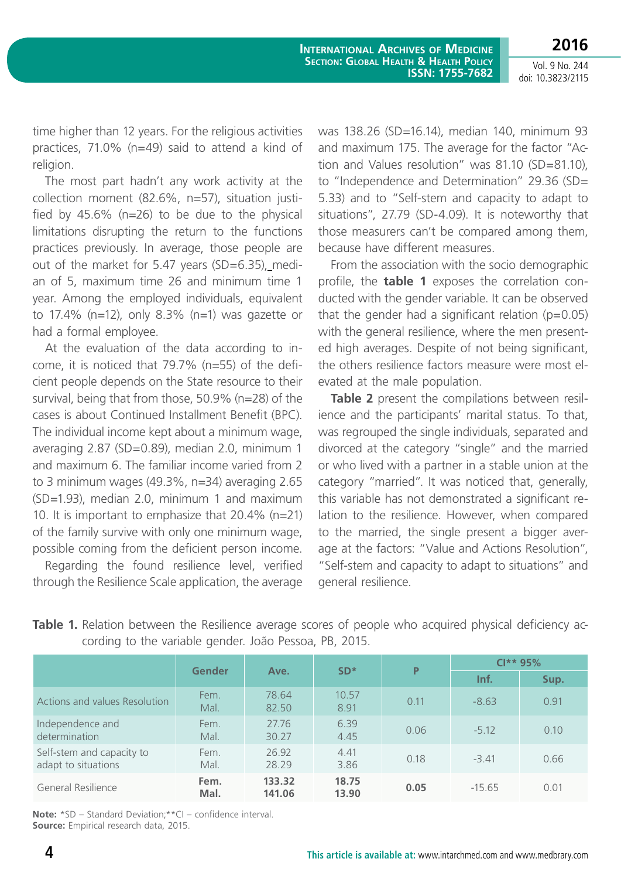**2016**

time higher than 12 years. For the religious activities practices, 71.0% (n=49) said to attend a kind of religion.

The most part hadn't any work activity at the collection moment (82.6%, n=57), situation justified by 45.6% (n=26) to be due to the physical limitations disrupting the return to the functions practices previously. In average, those people are out of the market for 5.47 years (SD=6.35), median of 5, maximum time 26 and minimum time 1 year. Among the employed individuals, equivalent to 17.4% ( $n=12$ ), only 8.3% ( $n=1$ ) was gazette or had a formal employee.

At the evaluation of the data according to income, it is noticed that 79.7% (n=55) of the deficient people depends on the State resource to their survival, being that from those, 50.9% (n=28) of the cases is about Continued Installment Benefit (BPC). The individual income kept about a minimum wage, averaging 2.87 (SD=0.89), median 2.0, minimum 1 and maximum 6. The familiar income varied from 2 to 3 minimum wages (49.3%, n=34) averaging 2.65 (SD=1.93), median 2.0, minimum 1 and maximum 10. It is important to emphasize that 20.4% (n=21) of the family survive with only one minimum wage, possible coming from the deficient person income.

Regarding the found resilience level, verified through the Resilience Scale application, the average was 138.26 (SD=16.14), median 140, minimum 93 and maximum 175. The average for the factor "Action and Values resolution" was 81.10 (SD=81.10), to "Independence and Determination" 29.36 (SD= 5.33) and to "Self-stem and capacity to adapt to situations", 27.79 (SD-4.09). It is noteworthy that those measurers can't be compared among them, because have different measures.

From the association with the socio demographic profile, the **table 1** exposes the correlation conducted with the gender variable. It can be observed that the gender had a significant relation  $(p=0.05)$ with the general resilience, where the men presented high averages. Despite of not being significant, the others resilience factors measure were most elevated at the male population.

**Table 2** present the compilations between resilience and the participants' marital status. To that, was regrouped the single individuals, separated and divorced at the category "single" and the married or who lived with a partner in a stable union at the category "married". It was noticed that, generally, this variable has not demonstrated a significant relation to the resilience. However, when compared to the married, the single present a bigger average at the factors: "Value and Actions Resolution", "Self-stem and capacity to adapt to situations" and general resilience.

|                                                  | Gender       |                  | $SD*$          | P    | $Cl**95%$ |      |  |
|--------------------------------------------------|--------------|------------------|----------------|------|-----------|------|--|
|                                                  |              | Ave.             |                |      | Inf.      | Sup. |  |
| Actions and values Resolution                    | Fem.<br>Mal. | 78.64<br>82.50   | 10.57<br>8.91  | 0.11 | $-8.63$   | 0.91 |  |
| Independence and<br>determination                | Fem.<br>Mal. | 27.76<br>30.27   | 6.39<br>4.45   | 0.06 | $-5.12$   | 0.10 |  |
| Self-stem and capacity to<br>adapt to situations | Fem.<br>Mal. | 26.92<br>28.29   | 4.41<br>3.86   | 0.18 | $-3.41$   | 0.66 |  |
| General Resilience                               | Fem.<br>Mal. | 133.32<br>141.06 | 18.75<br>13.90 | 0.05 | $-15.65$  | 0.01 |  |

**Table 1.** Relation between the Resilience average scores of people who acquired physical deficiency according to the variable gender. João Pessoa, PB, 2015.

**Note:** \*SD – Standard Deviation;\*\*CI – confidence interval. **Source:** Empirical research data, 2015.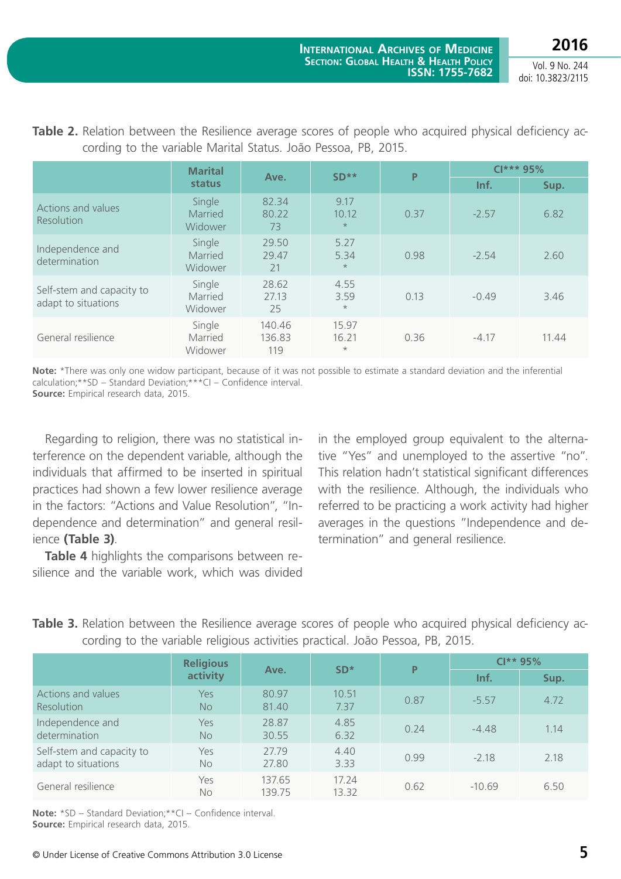**2016**

Vol. 9 No. 244 doi: 10.3823/2115

|                                                  | <b>Marital</b>               |                         | $SD**$<br>P               |      | $Cl***95%$ |       |
|--------------------------------------------------|------------------------------|-------------------------|---------------------------|------|------------|-------|
|                                                  | status                       | Ave.                    |                           |      | Inf.       | Sup.  |
| Actions and values<br><b>Resolution</b>          | Single<br>Married<br>Widower | 82.34<br>80.22<br>73    | 9.17<br>10.12<br>$\star$  | 0.37 | $-2.57$    | 6.82  |
| Independence and<br>determination                | Single<br>Married<br>Widower | 29.50<br>29.47<br>21    | 5.27<br>5.34<br>$\star$   | 0.98 | $-2.54$    | 2.60  |
| Self-stem and capacity to<br>adapt to situations | Single<br>Married<br>Widower | 28.62<br>27.13<br>25    | 4.55<br>3.59<br>$\star$   | 0.13 | $-0.49$    | 3.46  |
| General resilience                               | Single<br>Married<br>Widower | 140.46<br>136.83<br>119 | 15.97<br>16.21<br>$\star$ | 0.36 | $-4.17$    | 11.44 |

**Table 2.** Relation between the Resilience average scores of people who acquired physical deficiency according to the variable Marital Status. João Pessoa, PB, 2015.

**Note:** \*There was only one widow participant, because of it was not possible to estimate a standard deviation and the inferential calculation;\*\*SD – Standard Deviation;\*\*\*CI – Confidence interval. **Source:** Empirical research data, 2015.

Regarding to religion, there was no statistical interference on the dependent variable, although the individuals that affirmed to be inserted in spiritual practices had shown a few lower resilience average in the factors: "Actions and Value Resolution", "Independence and determination" and general resilience **(Table 3)**.

**Table 4** highlights the comparisons between resilience and the variable work, which was divided in the employed group equivalent to the alternative "Yes" and unemployed to the assertive "no". This relation hadn't statistical significant differences with the resilience. Although, the individuals who referred to be practicing a work activity had higher averages in the questions "Independence and determination" and general resilience.

|                                                  | <b>Religious</b> |                  | $SD*$          | P    | $Cl**95%$ |      |
|--------------------------------------------------|------------------|------------------|----------------|------|-----------|------|
|                                                  | activity         | Ave.             |                |      | Inf.      | Sup. |
| Actions and values<br><b>Resolution</b>          | Yes<br>No.       | 80.97<br>81.40   | 10.51<br>7.37  | 0.87 | $-5.57$   | 4.72 |
| Independence and<br>determination                | Yes<br><b>No</b> | 28.87<br>30.55   | 4.85<br>6.32   | 0.24 | $-4.48$   | 1.14 |
| Self-stem and capacity to<br>adapt to situations | Yes<br><b>No</b> | 27.79<br>27.80   | 4.40<br>3.33   | 0.99 | $-2.18$   | 2.18 |
| General resilience                               | Yes<br><b>No</b> | 137.65<br>139.75 | 17.24<br>13.32 | 0.62 | $-10.69$  | 6.50 |

**Table 3.** Relation between the Resilience average scores of people who acquired physical deficiency according to the variable religious activities practical. João Pessoa, PB, 2015.

**Note:** \*SD – Standard Deviation;\*\*CI – Confidence interval. **Source:** Empirical research data, 2015.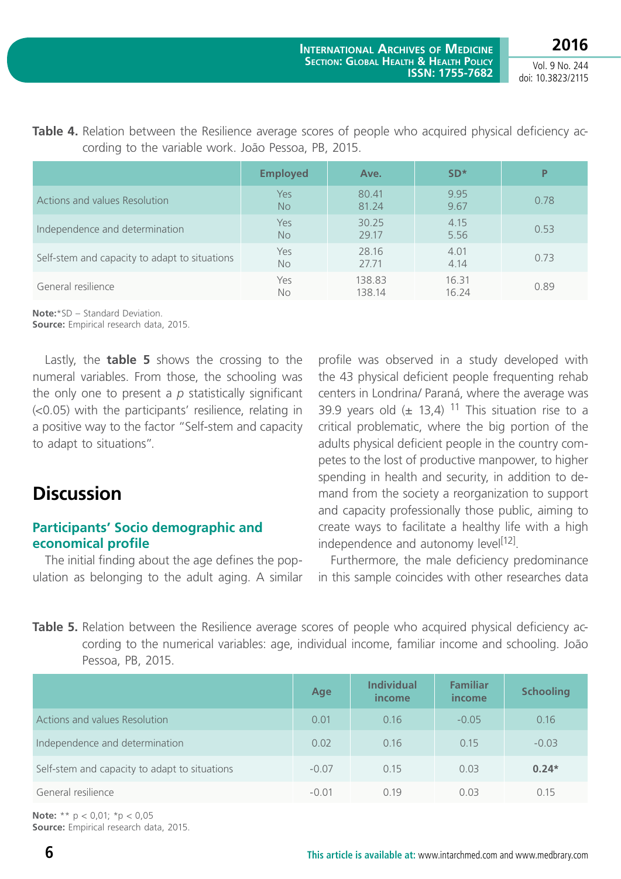|                                               | <b>Employed</b>  | Ave.             | $SD*$          | P    |
|-----------------------------------------------|------------------|------------------|----------------|------|
| Actions and values Resolution                 | Yes<br><b>No</b> | 80.41<br>81.24   | 9.95<br>9.67   | 0.78 |
| Independence and determination                | Yes<br><b>No</b> | 30.25<br>29.17   | 4.15<br>5.56   | 0.53 |
| Self-stem and capacity to adapt to situations | Yes<br>No        | 28.16<br>27.71   | 4.01<br>4.14   | 0.73 |
| General resilience                            | Yes<br>No        | 138.83<br>138.14 | 16.31<br>16.24 | 0.89 |

**Table 4.** Relation between the Resilience average scores of people who acquired physical deficiency according to the variable work. João Pessoa, PB, 2015.

**Note:**\*SD – Standard Deviation. **Source:** Empirical research data, 2015.

Lastly, the **table 5** shows the crossing to the numeral variables. From those, the schooling was the only one to present a *p* statistically significant (<0.05) with the participants' resilience, relating in a positive way to the factor "Self-stem and capacity to adapt to situations".

# **Discussion**

### **Participants' Socio demographic and economical profile**

The initial finding about the age defines the population as belonging to the adult aging. A similar profile was observed in a study developed with the 43 physical deficient people frequenting rehab centers in Londrina/ Paraná, where the average was 39.9 years old  $(\pm 13.4)$  <sup>11</sup> This situation rise to a critical problematic, where the big portion of the adults physical deficient people in the country competes to the lost of productive manpower, to higher spending in health and security, in addition to demand from the society a reorganization to support and capacity professionally those public, aiming to create ways to facilitate a healthy life with a high independence and autonomy level<sup>[12]</sup>.

Furthermore, the male deficiency predominance in this sample coincides with other researches data

**Table 5.** Relation between the Resilience average scores of people who acquired physical deficiency according to the numerical variables: age, individual income, familiar income and schooling. João Pessoa, PB, 2015.

|                                               | <b>Age</b> | <b>Individual</b><br><i>income</i> | <b>Familiar</b><br>income | <b>Schooling</b> |
|-----------------------------------------------|------------|------------------------------------|---------------------------|------------------|
| Actions and values Resolution                 | 0.01       | 0.16                               | $-0.05$                   | 0.16             |
| Independence and determination                | 0.02       | 0.16                               | 0.15                      | $-0.03$          |
| Self-stem and capacity to adapt to situations | $-0.07$    | 0.15                               | 0.03                      | $0.24*$          |
| General resilience                            | $-0.01$    | 0.19                               | 0.03                      | 0.15             |

**Note:** \*\* p < 0,01; \*p < 0,05 **Source:** Empirical research data, 2015.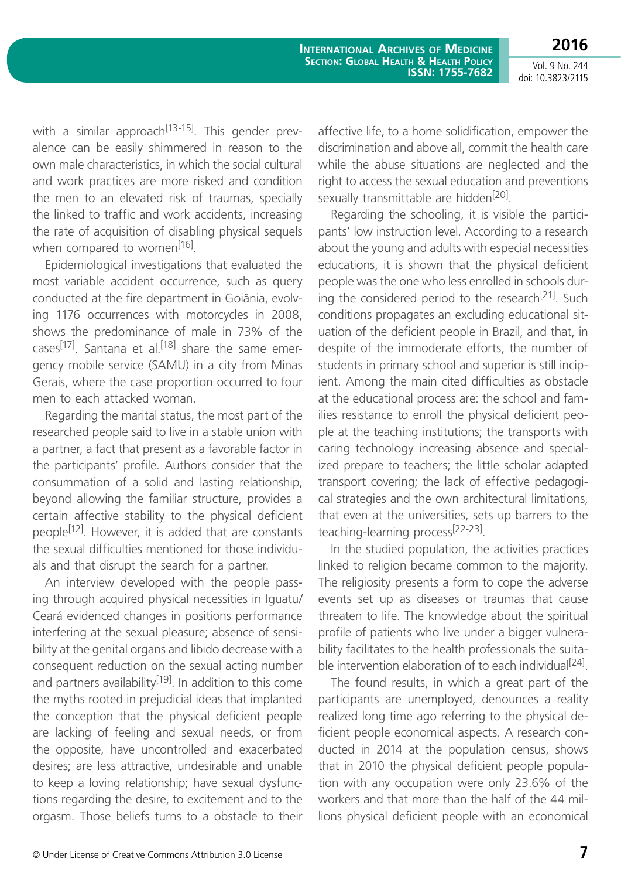**2016**

with a similar approach<sup>[13-15]</sup>. This gender prevalence can be easily shimmered in reason to the own male characteristics, in which the social cultural and work practices are more risked and condition the men to an elevated risk of traumas, specially the linked to traffic and work accidents, increasing the rate of acquisition of disabling physical sequels when compared to women<sup>[16]</sup>.

Epidemiological investigations that evaluated the most variable accident occurrence, such as query conducted at the fire department in Goiânia, evolving 1176 occurrences with motorcycles in 2008, shows the predominance of male in 73% of the cases<sup>[17]</sup>. Santana et al.<sup>[18]</sup> share the same emergency mobile service (SAMU) in a city from Minas Gerais, where the case proportion occurred to four men to each attacked woman.

Regarding the marital status, the most part of the researched people said to live in a stable union with a partner, a fact that present as a favorable factor in the participants' profile. Authors consider that the consummation of a solid and lasting relationship, beyond allowing the familiar structure, provides a certain affective stability to the physical deficient people<sup>[12]</sup>. However, it is added that are constants the sexual difficulties mentioned for those individuals and that disrupt the search for a partner.

An interview developed with the people passing through acquired physical necessities in Iguatu/ Ceará evidenced changes in positions performance interfering at the sexual pleasure; absence of sensibility at the genital organs and libido decrease with a consequent reduction on the sexual acting number and partners availability<sup>[19]</sup>. In addition to this come the myths rooted in prejudicial ideas that implanted the conception that the physical deficient people are lacking of feeling and sexual needs, or from the opposite, have uncontrolled and exacerbated desires; are less attractive, undesirable and unable to keep a loving relationship; have sexual dysfunctions regarding the desire, to excitement and to the orgasm. Those beliefs turns to a obstacle to their affective life, to a home solidification, empower the discrimination and above all, commit the health care while the abuse situations are neglected and the right to access the sexual education and preventions sexually transmittable are hidden<sup>[20]</sup>.

Regarding the schooling, it is visible the participants' low instruction level. According to a research about the young and adults with especial necessities educations, it is shown that the physical deficient people was the one who less enrolled in schools during the considered period to the research<sup>[21]</sup>. Such conditions propagates an excluding educational situation of the deficient people in Brazil, and that, in despite of the immoderate efforts, the number of students in primary school and superior is still incipient. Among the main cited difficulties as obstacle at the educational process are: the school and families resistance to enroll the physical deficient people at the teaching institutions; the transports with caring technology increasing absence and specialized prepare to teachers; the little scholar adapted transport covering; the lack of effective pedagogical strategies and the own architectural limitations, that even at the universities, sets up barrers to the teaching-learning process[22-23].

In the studied population, the activities practices linked to religion became common to the majority. The religiosity presents a form to cope the adverse events set up as diseases or traumas that cause threaten to life. The knowledge about the spiritual profile of patients who live under a bigger vulnerability facilitates to the health professionals the suitable intervention elaboration of to each individual<sup>[24]</sup>.

The found results, in which a great part of the participants are unemployed, denounces a reality realized long time ago referring to the physical deficient people economical aspects. A research conducted in 2014 at the population census, shows that in 2010 the physical deficient people population with any occupation were only 23.6% of the workers and that more than the half of the 44 millions physical deficient people with an economical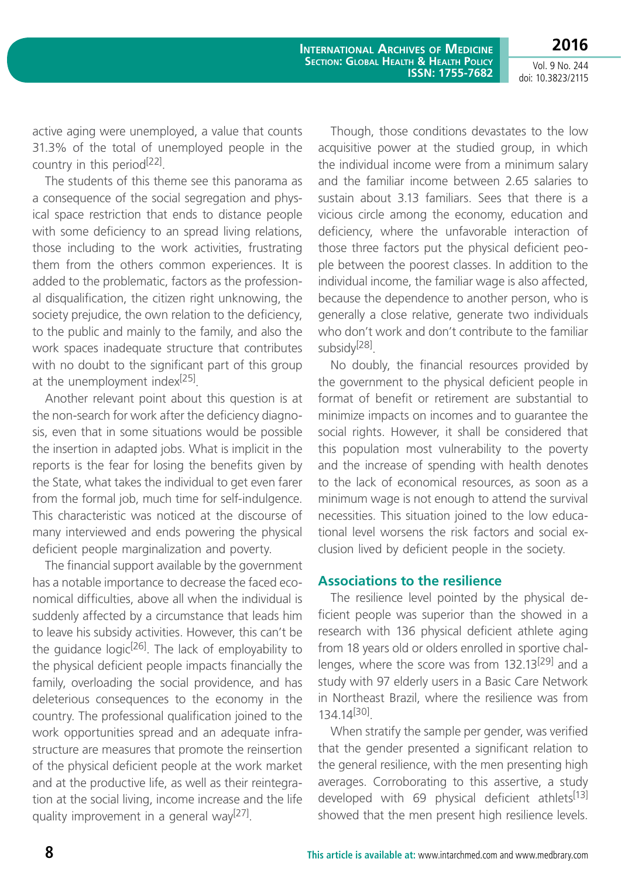active aging were unemployed, a value that counts 31.3% of the total of unemployed people in the country in this period<sup>[22]</sup>.

The students of this theme see this panorama as a consequence of the social segregation and physical space restriction that ends to distance people with some deficiency to an spread living relations, those including to the work activities, frustrating them from the others common experiences. It is added to the problematic, factors as the professional disqualification, the citizen right unknowing, the society prejudice, the own relation to the deficiency, to the public and mainly to the family, and also the work spaces inadequate structure that contributes with no doubt to the significant part of this group at the unemployment index $^{[25]}$ .

Another relevant point about this question is at the non-search for work after the deficiency diagnosis, even that in some situations would be possible the insertion in adapted jobs. What is implicit in the reports is the fear for losing the benefits given by the State, what takes the individual to get even farer from the formal job, much time for self-indulgence. This characteristic was noticed at the discourse of many interviewed and ends powering the physical deficient people marginalization and poverty.

The financial support available by the government has a notable importance to decrease the faced economical difficulties, above all when the individual is suddenly affected by a circumstance that leads him to leave his subsidy activities. However, this can't be the guidance logic<sup>[26]</sup>. The lack of employability to the physical deficient people impacts financially the family, overloading the social providence, and has deleterious consequences to the economy in the country. The professional qualification joined to the work opportunities spread and an adequate infrastructure are measures that promote the reinsertion of the physical deficient people at the work market and at the productive life, as well as their reintegration at the social living, income increase and the life quality improvement in a general way<sup>[27]</sup>.

Though, those conditions devastates to the low acquisitive power at the studied group, in which the individual income were from a minimum salary and the familiar income between 2.65 salaries to sustain about 3.13 familiars. Sees that there is a vicious circle among the economy, education and deficiency, where the unfavorable interaction of those three factors put the physical deficient people between the poorest classes. In addition to the individual income, the familiar wage is also affected, because the dependence to another person, who is generally a close relative, generate two individuals who don't work and don't contribute to the familiar subsidy<sup>[28]</sup>.

No doubly, the financial resources provided by the government to the physical deficient people in format of benefit or retirement are substantial to minimize impacts on incomes and to guarantee the social rights. However, it shall be considered that this population most vulnerability to the poverty and the increase of spending with health denotes to the lack of economical resources, as soon as a minimum wage is not enough to attend the survival necessities. This situation joined to the low educational level worsens the risk factors and social exclusion lived by deficient people in the society.

### **Associations to the resilience**

The resilience level pointed by the physical deficient people was superior than the showed in a research with 136 physical deficient athlete aging from 18 years old or olders enrolled in sportive challenges, where the score was from 132.13<sup>[29]</sup> and a study with 97 elderly users in a Basic Care Network in Northeast Brazil, where the resilience was from 134.14[30].

When stratify the sample per gender, was verified that the gender presented a significant relation to the general resilience, with the men presenting high averages. Corroborating to this assertive, a study developed with 69 physical deficient athlets<sup>[13]</sup> showed that the men present high resilience levels.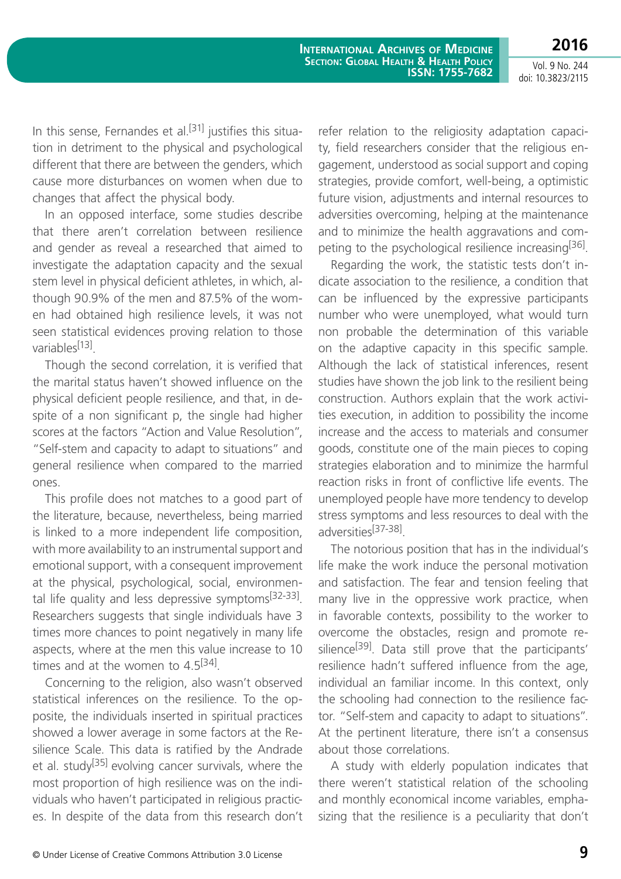**2016**

In this sense, Fernandes et al.<sup>[31]</sup> justifies this situation in detriment to the physical and psychological different that there are between the genders, which cause more disturbances on women when due to changes that affect the physical body.

In an opposed interface, some studies describe that there aren't correlation between resilience and gender as reveal a researched that aimed to investigate the adaptation capacity and the sexual stem level in physical deficient athletes, in which, although 90.9% of the men and 87.5% of the women had obtained high resilience levels, it was not seen statistical evidences proving relation to those variables<sup>[13]</sup>.

Though the second correlation, it is verified that the marital status haven't showed influence on the physical deficient people resilience, and that, in despite of a non significant p, the single had higher scores at the factors "Action and Value Resolution", "Self-stem and capacity to adapt to situations" and general resilience when compared to the married ones.

This profile does not matches to a good part of the literature, because, nevertheless, being married is linked to a more independent life composition, with more availability to an instrumental support and emotional support, with a consequent improvement at the physical, psychological, social, environmental life quality and less depressive symptoms $[32-33]$ . Researchers suggests that single individuals have 3 times more chances to point negatively in many life aspects, where at the men this value increase to 10 times and at the women to  $4.5^{[34]}$ .

Concerning to the religion, also wasn't observed statistical inferences on the resilience. To the opposite, the individuals inserted in spiritual practices showed a lower average in some factors at the Resilience Scale. This data is ratified by the Andrade et al. study<sup>[35]</sup> evolving cancer survivals, where the most proportion of high resilience was on the individuals who haven't participated in religious practices. In despite of the data from this research don't refer relation to the religiosity adaptation capacity, field researchers consider that the religious engagement, understood as social support and coping strategies, provide comfort, well-being, a optimistic future vision, adjustments and internal resources to adversities overcoming, helping at the maintenance and to minimize the health aggravations and competing to the psychological resilience increasing<sup>[36]</sup>.

Regarding the work, the statistic tests don't indicate association to the resilience, a condition that can be influenced by the expressive participants number who were unemployed, what would turn non probable the determination of this variable on the adaptive capacity in this specific sample. Although the lack of statistical inferences, resent studies have shown the job link to the resilient being construction. Authors explain that the work activities execution, in addition to possibility the income increase and the access to materials and consumer goods, constitute one of the main pieces to coping strategies elaboration and to minimize the harmful reaction risks in front of conflictive life events. The unemployed people have more tendency to develop stress symptoms and less resources to deal with the adversities[37-38].

The notorious position that has in the individual's life make the work induce the personal motivation and satisfaction. The fear and tension feeling that many live in the oppressive work practice, when in favorable contexts, possibility to the worker to overcome the obstacles, resign and promote resilience<sup>[39]</sup>. Data still prove that the participants' resilience hadn't suffered influence from the age, individual an familiar income. In this context, only the schooling had connection to the resilience factor. "Self-stem and capacity to adapt to situations". At the pertinent literature, there isn't a consensus about those correlations.

A study with elderly population indicates that there weren't statistical relation of the schooling and monthly economical income variables, emphasizing that the resilience is a peculiarity that don't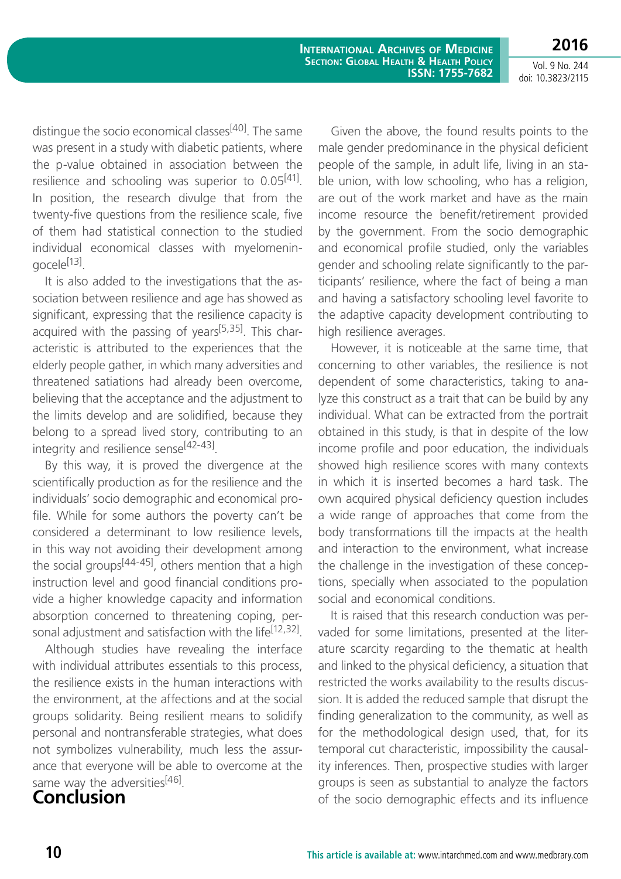**International Archives of Medicine Section: Global Health & Health Policy ISSN: 1755-7682**

Vol. 9 No. 244 doi: 10.3823/2115

**2016**

distingue the socio economical classes<sup>[40]</sup>. The same was present in a study with diabetic patients, where the p-value obtained in association between the resilience and schooling was superior to  $0.05^{[41]}$ . In position, the research divulge that from the twenty-five questions from the resilience scale, five of them had statistical connection to the studied individual economical classes with myelomeningocele[13].

It is also added to the investigations that the association between resilience and age has showed as significant, expressing that the resilience capacity is acquired with the passing of years $[5,35]$ . This characteristic is attributed to the experiences that the elderly people gather, in which many adversities and threatened satiations had already been overcome, believing that the acceptance and the adjustment to the limits develop and are solidified, because they belong to a spread lived story, contributing to an integrity and resilience sense<sup>[42-43]</sup>.

By this way, it is proved the divergence at the scientifically production as for the resilience and the individuals' socio demographic and economical profile. While for some authors the poverty can't be considered a determinant to low resilience levels, in this way not avoiding their development among the social groups<sup>[44-45]</sup>, others mention that a high instruction level and good financial conditions provide a higher knowledge capacity and information absorption concerned to threatening coping, personal adjustment and satisfaction with the life<sup>[12,32]</sup>.

Although studies have revealing the interface with individual attributes essentials to this process, the resilience exists in the human interactions with the environment, at the affections and at the social groups solidarity. Being resilient means to solidify personal and nontransferable strategies, what does not symbolizes vulnerability, much less the assurance that everyone will be able to overcome at the same way the adversities<sup>[46]</sup>.

**Conclusion**

Given the above, the found results points to the male gender predominance in the physical deficient people of the sample, in adult life, living in an stable union, with low schooling, who has a religion, are out of the work market and have as the main income resource the benefit/retirement provided by the government. From the socio demographic and economical profile studied, only the variables gender and schooling relate significantly to the participants' resilience, where the fact of being a man and having a satisfactory schooling level favorite to the adaptive capacity development contributing to high resilience averages.

However, it is noticeable at the same time, that concerning to other variables, the resilience is not dependent of some characteristics, taking to analyze this construct as a trait that can be build by any individual. What can be extracted from the portrait obtained in this study, is that in despite of the low income profile and poor education, the individuals showed high resilience scores with many contexts in which it is inserted becomes a hard task. The own acquired physical deficiency question includes a wide range of approaches that come from the body transformations till the impacts at the health and interaction to the environment, what increase the challenge in the investigation of these conceptions, specially when associated to the population social and economical conditions.

It is raised that this research conduction was pervaded for some limitations, presented at the literature scarcity regarding to the thematic at health and linked to the physical deficiency, a situation that restricted the works availability to the results discussion. It is added the reduced sample that disrupt the finding generalization to the community, as well as for the methodological design used, that, for its temporal cut characteristic, impossibility the causality inferences. Then, prospective studies with larger groups is seen as substantial to analyze the factors of the socio demographic effects and its influence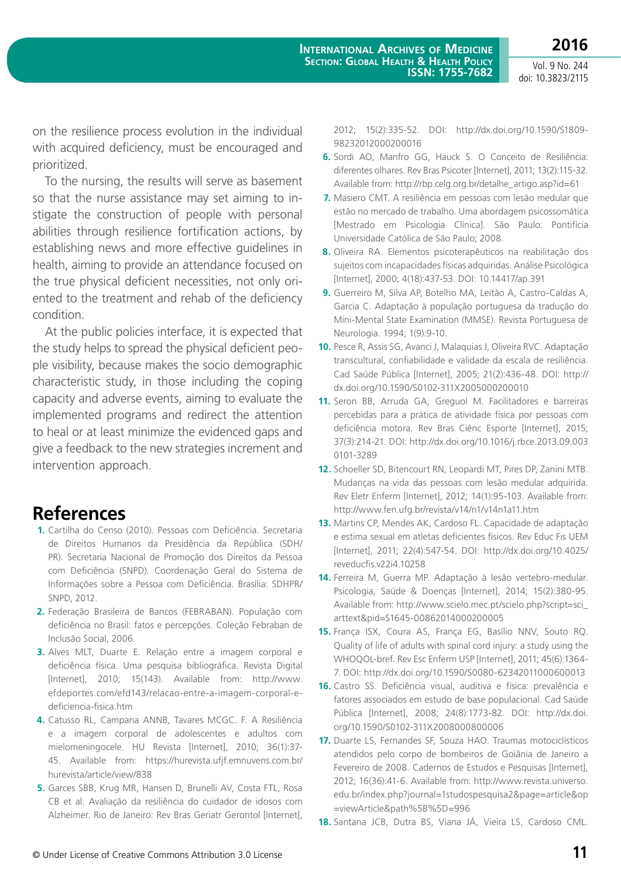on the resilience process evolution in the individual with acquired deficiency, must be encouraged and prioritized.

To the nursing, the results will serve as basement so that the nurse assistance may set aiming to instigate the construction of people with personal abilities through resilience fortification actions, by establishing news and more effective guidelines in health, aiming to provide an attendance focused on the true physical deficient necessities, not only oriented to the treatment and rehab of the deficiency condition.

At the public policies interface, it is expected that the study helps to spread the physical deficient people visibility, because makes the socio demographic characteristic study, in those including the coping capacity and adverse events, aiming to evaluate the implemented programs and redirect the attention to heal or at least minimize the evidenced gaps and give a feedback to the new strategies increment and intervention approach.

## **References**

- **1.** Cartilha do Censo (2010). Pessoas com Deficiência. Secretaria de Direitos Humanos da Presidência da República (SDH/ PR). Secretaria Nacional de Promoção dos Direitos da Pessoa com Deficiência (SNPD). Coordenação Geral do Sistema de Informações sobre a Pessoa com Deficiência. Brasília: SDHPR/ SNPD, 2012.
- **2.** Federação Brasileira de Bancos (FEBRABAN). População com deficiência no Brasil: fatos e percepções. Coleção Febraban de Inclusão Social, 2006.
- **3.** Alves MLT, Duarte E. Relação entre a imagem corporal e deficiência física. Uma pesquisa bibliográfica. Revista Digital [Internet], 2010; 15(143). Available from: http://www. efdeportes.com/efd143/relacao-entre-a-imagem-corporal-edeficiencia-fisica.htm
- **4.** Catusso RL, Campana ANNB, Tavares MCGC. F. A Resiliência e a imagem corporal de adolescentes e adultos com mielomeningocele. HU Revista [Internet], 2010; 36(1):37- 45. Available from: https://hurevista.ufjf.emnuvens.com.br/ hurevista/article/view/838
- **5.** Garces SBB, Krug MR, Hansen D, Brunelli AV, Costa FTL, Rosa CB et al. Avaliação da resiliência do cuidador de idosos com Alzheimer. Rio de Janeiro: Rev Bras Geriatr Gerontol [Internet],

2012; 15(2):335-52. DOI: http://dx.doi.org/10.1590/S1809- 98232012000200016

- **6.** Sordi AO, Manfro GG, Hauck S. O Conceito de Resiliência: diferentes olhares. Rev Bras Psicoter [Internet], 2011; 13(2):115-32. Available from: http://rbp.celg.org.br/detalhe\_artigo.asp?id=61
- **7.** Masiero CMT. A resiliência em pessoas com lesão medular que estão no mercado de trabalho. Uma abordagem psicossomática [Mestrado em Psicologia Clínica]. São Paulo: Pontifícia Universidade Católica de São Paulo; 2008.
- **8.** Oliveira RA. Elementos psicoterapêuticos na reabilitação dos sujeitos com incapacidades físicas adquiridas. Análise Psicológica [Internet], 2000; 4(18):437-53. DOI: [10.14417/ap.391](http://dx.doi.org/10.14417/ap.391)
- **9.** Guerreiro M, Silva AP, Botelho MA, Leitão A, Castro-Caldas A, Garcia C. Adaptação à população portuguesa da tradução do Mini-Mental State Examination (MMSE). Revista Portuguesa de Neurologia. 1994; 1(9):9-10.
- **10.** Pesce R, Assis SG, Avanci J, Malaquias J, Oliveira RVC. Adaptação transcultural, confiabilidade e validade da escala de resiliência. Cad Saúde Pública [Internet], 2005; 21(2):436-48. DOI: http:// dx.doi.org/10.1590/S0102-311X2005000200010
- **11.** Seron BB, Arruda GA, Greguol M. Facilitadores e barreiras percebidas para a prática de atividade física por pessoas com deficiência motora. Rev Bras Ciênc Esporte [Internet], 2015; 37(3):214-21. DOI: [http://dx.doi.org/10.1016/j.rbce.2013.09.003](http://dx.doi.org/10.1016/j.rbce.2013.09.003 0101-3289) [0101-3289](http://dx.doi.org/10.1016/j.rbce.2013.09.003 0101-3289)
- **12.** Schoeller SD, Bitencourt RN, Leopardi MT, Pires DP, Zanini MTB. Mudanças na vida das pessoas com lesão medular adquirida. Rev Eletr Enferm [Internet], 2012; 14(1):95-103. Available from: http://www.fen.ufg.br/revista/v14/n1/v14n1a11.htm
- **13.** Martins CP, Mendes AK, Cardoso FL. Capacidade de adaptação e estima sexual em atletas deficientes físicos. Rev Educ Fis UEM [Internet], 2011; 22(4):547-54. DOI: http://dx.doi.org/10.4025/ reveducfis.v22i4.10258
- **14.** Ferreira M, Guerra MP. Adaptação à lesão vertebro-medular. Psicologia, Saúde & Doenças [Internet], 2014; 15(2):380-95. Available from: http://www.scielo.mec.pt/scielo.php?script=sci\_ arttext&pid=S1645-00862014000200005
- **15.** França ISX, Coura AS, França EG, Basílio NNV, Souto RQ. Quality of life of adults with spinal cord injury: a study using the WHOQOL-bref. Rev Esc Enferm USP [Internet], 2011; 45(6):1364- 7. DOI: http://dx.doi.org/10.1590/S0080-62342011000600013
- **16.** Castro SS. Deficiência visual, auditiva e física: prevalência e fatores associados em estudo de base populacional. Cad Saúde Pública [Internet], 2008; 24(8):1773-82. DOI: http://dx.doi. org/10.1590/S0102-311X2008000800006
- **17.** Duarte LS, Fernandes SF, Souza HAO. Traumas motociclísticos atendidos pelo corpo de bombeiros de Goiânia de Janeiro a Fevereiro de 2008. Cadernos de Estudos e Pesquisas [Internet], 2012; 16(36):41-6. Available from: http://www.revista.universo. edu.br/index.php?journal=1studospesquisa2&page=article&op =viewArticle&path%5B%5D=996
- **18.** Santana JCB, Dutra BS, Viana JÁ, Vieira LS, Cardoso CML.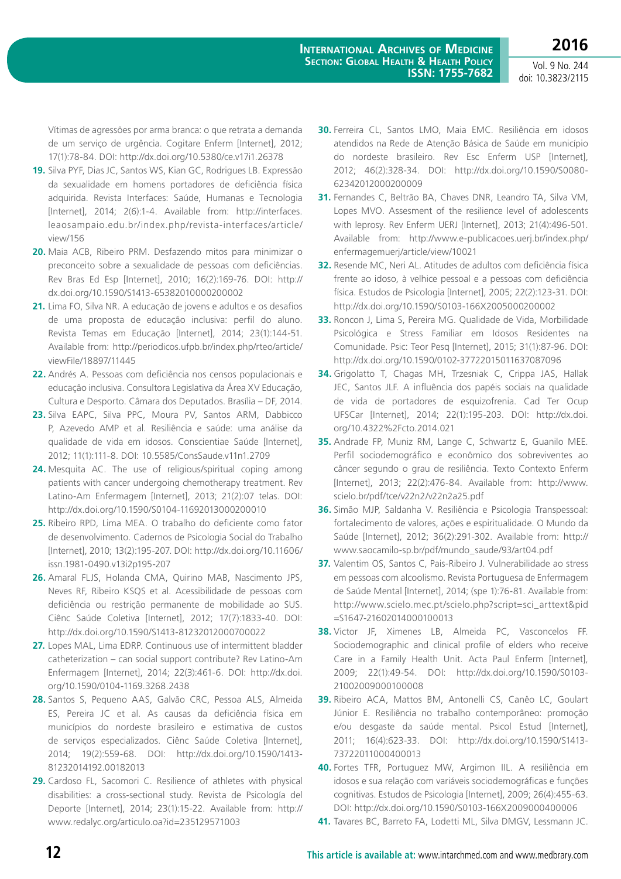doi: 10.3823/2115

Vítimas de agressões por arma branca: o que retrata a demanda de um serviço de urgência. Cogitare Enferm [Internet], 2012; 17(1):78-84. DOI: <http://dx.doi.org/10.5380/ce.v17i1.26378>

- **19.** Silva PYF, Dias JC, Santos WS, Kian GC, Rodrigues LB. Expressão da sexualidade em homens portadores de deficiência física adquirida. Revista Interfaces: Saúde, Humanas e Tecnologia [Internet], 2014; 2(6):1-4. Available from: http://interfaces. leaosampaio.edu.br/index.php/revista-interfaces/article/  $vi$ ew/156
- **20.** Maia ACB, Ribeiro PRM. Desfazendo mitos para minimizar o preconceito sobre a sexualidade de pessoas com deficiências. Rev Bras Ed Esp [Internet], 2010; 16(2):169-76. DOI: http:// dx.doi.org/10.1590/S1413-65382010000200002
- **21.** Lima FO, Silva NR. A educação de jovens e adultos e os desafios de uma proposta de educação inclusiva: perfil do aluno. Revista Temas em Educação [Internet], 2014; 23(1):144-51. Available from: http://periodicos.ufpb.br/index.php/rteo/article/ viewFile/18897/11445
- **22.** Andrés A. Pessoas com deficiência nos censos populacionais e educação inclusiva. Consultora Legislativa da Área XV Educação, Cultura e Desporto. Câmara dos Deputados. Brasília – DF, 2014.
- **23.** Silva EAPC, Silva PPC, Moura PV, Santos ARM, Dabbicco P, Azevedo AMP et al. Resiliência e saúde: uma análise da qualidade de vida em idosos. Conscientiae Saúde [Internet], 2012; 11(1):111-8. DOI: 10.5585/ConsSaude.v11n1.2709
- **24.** Mesquita AC. The use of religious/spiritual coping among patients with cancer undergoing chemotherapy treatment. Rev Latino-Am Enfermagem [Internet], 2013; 21(2):07 telas. DOI: http://dx.doi.org/10.1590/S0104-11692013000200010
- **25.** Ribeiro RPD, Lima MEA. O trabalho do deficiente como fator de desenvolvimento. Cadernos de Psicologia Social do Trabalho [Internet], 2010; 13(2):195-207. DOI: [http://dx.doi.org/10.11606/](http://dx.doi.org/10.11606/issn.1981-0490.v13i2p195-207) [issn.1981-0490.v13i2p195-207](http://dx.doi.org/10.11606/issn.1981-0490.v13i2p195-207)
- **26.** Amaral FLJS, Holanda CMA, Quirino MAB, Nascimento JPS, Neves RF, Ribeiro KSQS et al. Acessibilidade de pessoas com deficiência ou restrição permanente de mobilidade ao SUS. Ciênc Saúde Coletiva [Internet], 2012; 17(7):1833-40. DOI: http://dx.doi.org/10.1590/S1413-81232012000700022
- **27.** Lopes MAL, Lima EDRP. Continuous use of intermittent bladder catheterization – can social support contribute? Rev Latino-Am Enfermagem [Internet], 2014; 22(3):461-6. DOI: http://dx.doi. org/10.1590/0104-1169.3268.2438
- **28.** Santos S, Pequeno AAS, Galvão CRC, Pessoa ALS, Almeida ES, Pereira JC et al. As causas da deficiência física em municípios do nordeste brasileiro e estimativa de custos de serviços especializados. Ciênc Saúde Coletiva [Internet], 2014; 19(2):559-68. DOI: http://dx.doi.org/10.1590/1413- 81232014192.00182013
- **29.** Cardoso FL, Sacomori C. Resilience of athletes with physical disabilities: a cross-sectional study. Revista de Psicología del Deporte [Internet], 2014; 23(1):15-22. Available from: http:// www.redalyc.org/articulo.oa?id=235129571003
- **30.** Ferreira CL, Santos LMO, Maia EMC. Resiliência em idosos atendidos na Rede de Atenção Básica de Saúde em município do nordeste brasileiro. Rev Esc Enferm USP [Internet], 2012; 46(2):328-34. DOI: http://dx.doi.org/10.1590/S0080- 62342012000200009
- **31.** Fernandes C, Beltrão BA, Chaves DNR, Leandro TA, Silva VM, Lopes MVO. Assesment of the resilience level of adolescents with leprosy. Rev Enferm UERJ [Internet], 2013; 21(4):496-501. Available from: http://www.e-publicacoes.uerj.br/index.php/ enfermagemuerj/article/view/10021
- **32.** Resende MC, Neri AL. Atitudes de adultos com deficiência física frente ao idoso, à velhice pessoal e a pessoas com deficiência física. Estudos de Psicologia [Internet], 2005; 22(2):123-31. DOI: http://dx.doi.org/10.1590/S0103-166X2005000200002
- **33.** Roncon J, Lima S, Pereira MG. Qualidade de Vida, Morbilidade Psicológica e Stress Familiar em Idosos Residentes na Comunidade. Psic: Teor Pesq [Internet], 2015; 31(1):87-96. DOI: http://dx.doi.org/10.1590/0102-37722015011637087096
- **34.** Grigolatto T, Chagas MH, Trzesniak C, Crippa JAS, Hallak JEC, Santos JLF. A influência dos papéis sociais na qualidade de vida de portadores de esquizofrenia. Cad Ter Ocup UFSCar [Internet], 2014; 22(1):195-203. DOI: [http://dx.doi.](http://dx.doi.org/10.4322%2Fcto.2014.021) [org/10.4322%2Fcto.2014.021](http://dx.doi.org/10.4322%2Fcto.2014.021)
- **35.** Andrade FP, Muniz RM, Lange C, Schwartz E, Guanilo MEE. Perfil sociodemográfico e econômico dos sobreviventes ao câncer segundo o grau de resiliência. Texto Contexto Enferm [Internet], 2013; 22(2):476-84. Available from: http://www. scielo.br/pdf/tce/v22n2/v22n2a25.pdf
- **36.** Simão MJP, Saldanha V. Resiliência e Psicologia Transpessoal: fortalecimento de valores, ações e espiritualidade. O Mundo da Saúde [Internet], 2012; 36(2):291-302. Available from: http:// www.saocamilo-sp.br/pdf/mundo\_saude/93/art04.pdf
- **37.** Valentim OS, Santos C, Pais-Ribeiro J. Vulnerabilidade ao stress em pessoas com alcoolismo. Revista Portuguesa de Enfermagem de Saúde Mental [Internet], 2014; (spe 1):76-81. Available from: http://www.scielo.mec.pt/scielo.php?script=sci\_arttext&pid =S1647-21602014000100013
- **38.** Victor JF, Ximenes LB, Almeida PC, Vasconcelos FF. Sociodemographic and clinical profile of elders who receive Care in a Family Health Unit. Acta Paul Enferm [Internet], 2009; 22(1):49-54. DOI: http://dx.doi.org/10.1590/S0103- 21002009000100008
- **39.** Ribeiro ACA, Mattos BM, Antonelli CS, Canêo LC, Goulart Júnior E. Resiliência no trabalho contemporâneo: promoção e/ou desgaste da saúde mental. Psicol Estud [Internet], 2011; 16(4):623-33. DOI: http://dx.doi.org/10.1590/S1413- 73722011000400013
- **40.** Fortes TFR, Portuguez MW, Argimon IIL. A resiliência em idosos e sua relação com variáveis sociodemográficas e funções cognitivas. Estudos de Psicologia [Internet], 2009; 26(4):455-63. DOI: http://dx.doi.org/10.1590/S0103-166X2009000400006
- **41.** Tavares BC, Barreto FA, Lodetti ML, Silva DMGV, Lessmann JC.